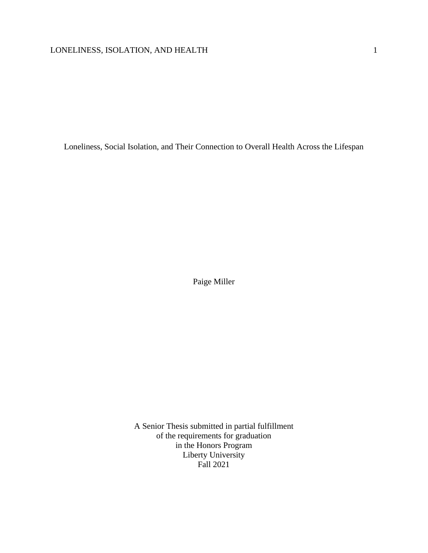Loneliness, Social Isolation, and Their Connection to Overall Health Across the Lifespan

Paige Miller

A Senior Thesis submitted in partial fulfillment of the requirements for graduation in the Honors Program Liberty University Fall 2021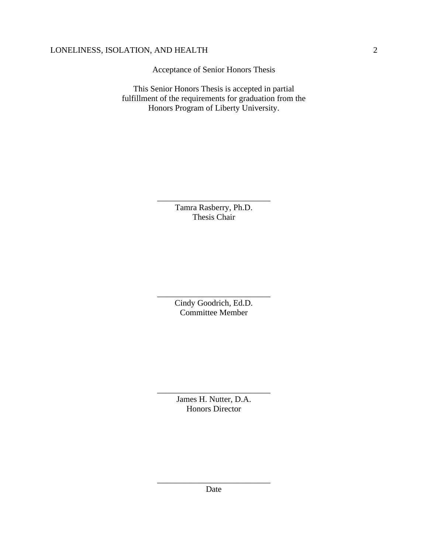Acceptance of Senior Honors Thesis

This Senior Honors Thesis is accepted in partial fulfillment of the requirements for graduation from the Honors Program of Liberty University.

> Tamra Rasberry, Ph.D. Thesis Chair

\_\_\_\_\_\_\_\_\_\_\_\_\_\_\_\_\_\_\_\_\_\_\_\_\_\_\_

Cindy Goodrich, Ed.D. Committee Member

\_\_\_\_\_\_\_\_\_\_\_\_\_\_\_\_\_\_\_\_\_\_\_\_\_\_\_

James H. Nutter, D.A. Honors Director

\_\_\_\_\_\_\_\_\_\_\_\_\_\_\_\_\_\_\_\_\_\_\_\_\_\_\_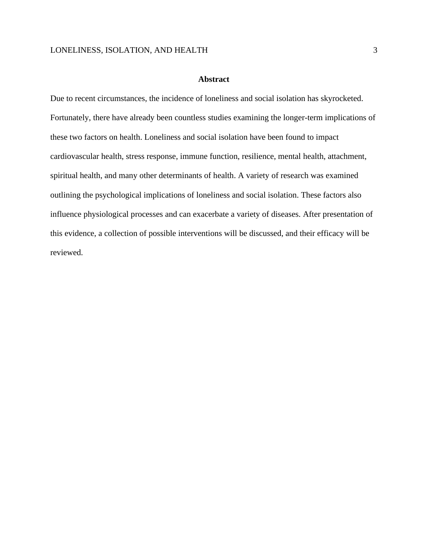#### **Abstract**

Due to recent circumstances, the incidence of loneliness and social isolation has skyrocketed. Fortunately, there have already been countless studies examining the longer-term implications of these two factors on health. Loneliness and social isolation have been found to impact cardiovascular health, stress response, immune function, resilience, mental health, attachment, spiritual health, and many other determinants of health. A variety of research was examined outlining the psychological implications of loneliness and social isolation. These factors also influence physiological processes and can exacerbate a variety of diseases. After presentation of this evidence, a collection of possible interventions will be discussed, and their efficacy will be reviewed.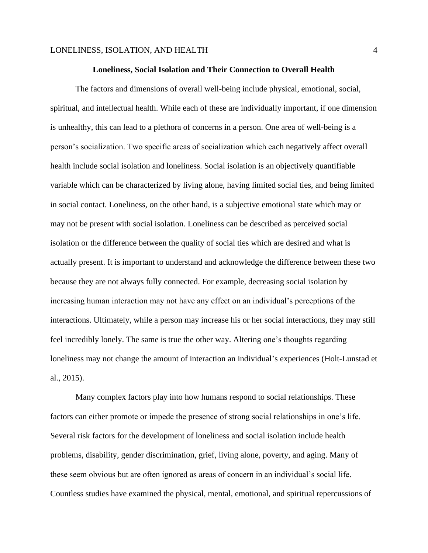### **Loneliness, Social Isolation and Their Connection to Overall Health**

The factors and dimensions of overall well-being include physical, emotional, social, spiritual, and intellectual health. While each of these are individually important, if one dimension is unhealthy, this can lead to a plethora of concerns in a person. One area of well-being is a person's socialization. Two specific areas of socialization which each negatively affect overall health include social isolation and loneliness. Social isolation is an objectively quantifiable variable which can be characterized by living alone, having limited social ties, and being limited in social contact. Loneliness, on the other hand, is a subjective emotional state which may or may not be present with social isolation. Loneliness can be described as perceived social isolation or the difference between the quality of social ties which are desired and what is actually present. It is important to understand and acknowledge the difference between these two because they are not always fully connected. For example, decreasing social isolation by increasing human interaction may not have any effect on an individual's perceptions of the interactions. Ultimately, while a person may increase his or her social interactions, they may still feel incredibly lonely. The same is true the other way. Altering one's thoughts regarding loneliness may not change the amount of interaction an individual's experiences (Holt-Lunstad et al., 2015).

Many complex factors play into how humans respond to social relationships. These factors can either promote or impede the presence of strong social relationships in one's life. Several risk factors for the development of loneliness and social isolation include health problems, disability, gender discrimination, grief, living alone, poverty, and aging. Many of these seem obvious but are often ignored as areas of concern in an individual's social life. Countless studies have examined the physical, mental, emotional, and spiritual repercussions of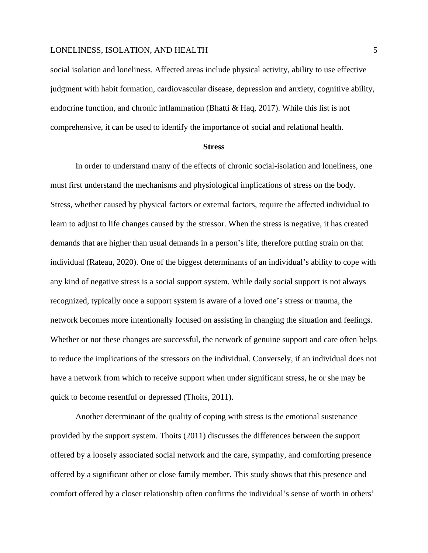social isolation and loneliness. Affected areas include physical activity, ability to use effective judgment with habit formation, cardiovascular disease, depression and anxiety, cognitive ability, endocrine function, and chronic inflammation (Bhatti & Haq, 2017). While this list is not comprehensive, it can be used to identify the importance of social and relational health.

#### **Stress**

In order to understand many of the effects of chronic social-isolation and loneliness, one must first understand the mechanisms and physiological implications of stress on the body. Stress, whether caused by physical factors or external factors, require the affected individual to learn to adjust to life changes caused by the stressor. When the stress is negative, it has created demands that are higher than usual demands in a person's life, therefore putting strain on that individual (Rateau, 2020). One of the biggest determinants of an individual's ability to cope with any kind of negative stress is a social support system. While daily social support is not always recognized, typically once a support system is aware of a loved one's stress or trauma, the network becomes more intentionally focused on assisting in changing the situation and feelings. Whether or not these changes are successful, the network of genuine support and care often helps to reduce the implications of the stressors on the individual. Conversely, if an individual does not have a network from which to receive support when under significant stress, he or she may be quick to become resentful or depressed (Thoits, 2011).

Another determinant of the quality of coping with stress is the emotional sustenance provided by the support system. Thoits (2011) discusses the differences between the support offered by a loosely associated social network and the care, sympathy, and comforting presence offered by a significant other or close family member. This study shows that this presence and comfort offered by a closer relationship often confirms the individual's sense of worth in others'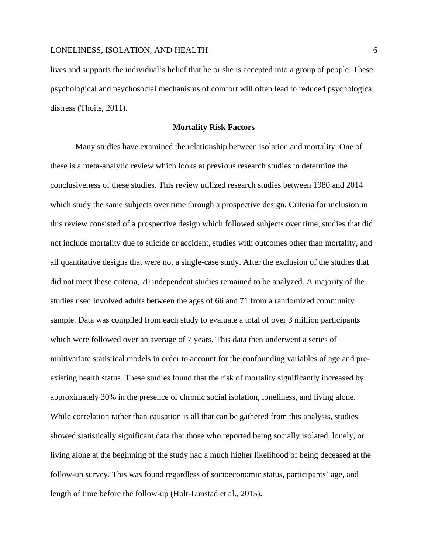lives and supports the individual's belief that he or she is accepted into a group of people. These psychological and psychosocial mechanisms of comfort will often lead to reduced psychological distress (Thoits, 2011).

### **Mortality Risk Factors**

Many studies have examined the relationship between isolation and mortality. One of these is a meta-analytic review which looks at previous research studies to determine the conclusiveness of these studies. This review utilized research studies between 1980 and 2014 which study the same subjects over time through a prospective design. Criteria for inclusion in this review consisted of a prospective design which followed subjects over time, studies that did not include mortality due to suicide or accident, studies with outcomes other than mortality, and all quantitative designs that were not a single-case study. After the exclusion of the studies that did not meet these criteria, 70 independent studies remained to be analyzed. A majority of the studies used involved adults between the ages of 66 and 71 from a randomized community sample. Data was compiled from each study to evaluate a total of over 3 million participants which were followed over an average of 7 years. This data then underwent a series of multivariate statistical models in order to account for the confounding variables of age and preexisting health status. These studies found that the risk of mortality significantly increased by approximately 30% in the presence of chronic social isolation, loneliness, and living alone. While correlation rather than causation is all that can be gathered from this analysis, studies showed statistically significant data that those who reported being socially isolated, lonely, or living alone at the beginning of the study had a much higher likelihood of being deceased at the follow-up survey. This was found regardless of socioeconomic status, participants' age, and length of time before the follow-up (Holt-Lunstad et al., 2015).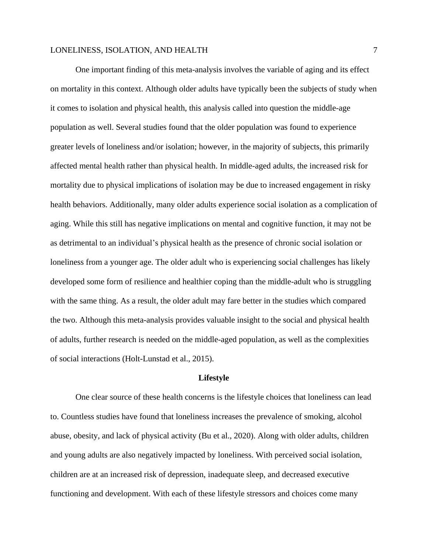One important finding of this meta-analysis involves the variable of aging and its effect on mortality in this context. Although older adults have typically been the subjects of study when it comes to isolation and physical health, this analysis called into question the middle-age population as well. Several studies found that the older population was found to experience greater levels of loneliness and/or isolation; however, in the majority of subjects, this primarily affected mental health rather than physical health. In middle-aged adults, the increased risk for mortality due to physical implications of isolation may be due to increased engagement in risky health behaviors. Additionally, many older adults experience social isolation as a complication of aging. While this still has negative implications on mental and cognitive function, it may not be as detrimental to an individual's physical health as the presence of chronic social isolation or loneliness from a younger age. The older adult who is experiencing social challenges has likely developed some form of resilience and healthier coping than the middle-adult who is struggling with the same thing. As a result, the older adult may fare better in the studies which compared the two. Although this meta-analysis provides valuable insight to the social and physical health of adults, further research is needed on the middle-aged population, as well as the complexities of social interactions (Holt-Lunstad et al., 2015).

### **Lifestyle**

One clear source of these health concerns is the lifestyle choices that loneliness can lead to. Countless studies have found that loneliness increases the prevalence of smoking, alcohol abuse, obesity, and lack of physical activity (Bu et al., 2020). Along with older adults, children and young adults are also negatively impacted by loneliness. With perceived social isolation, children are at an increased risk of depression, inadequate sleep, and decreased executive functioning and development. With each of these lifestyle stressors and choices come many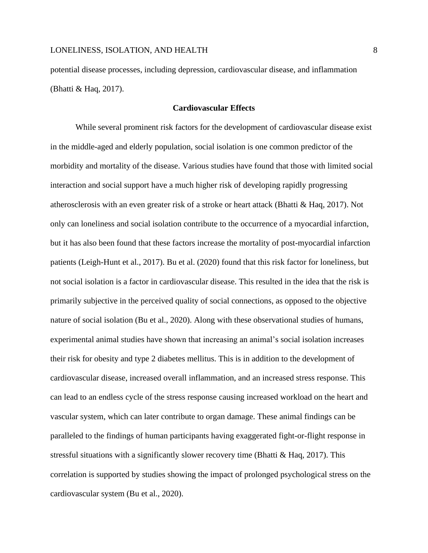potential disease processes, including depression, cardiovascular disease, and inflammation (Bhatti & Haq, 2017).

### **Cardiovascular Effects**

While several prominent risk factors for the development of cardiovascular disease exist in the middle-aged and elderly population, social isolation is one common predictor of the morbidity and mortality of the disease. Various studies have found that those with limited social interaction and social support have a much higher risk of developing rapidly progressing atherosclerosis with an even greater risk of a stroke or heart attack (Bhatti & Haq, 2017). Not only can loneliness and social isolation contribute to the occurrence of a myocardial infarction, but it has also been found that these factors increase the mortality of post-myocardial infarction patients (Leigh-Hunt et al., 2017). Bu et al. (2020) found that this risk factor for loneliness, but not social isolation is a factor in cardiovascular disease. This resulted in the idea that the risk is primarily subjective in the perceived quality of social connections, as opposed to the objective nature of social isolation (Bu et al., 2020). Along with these observational studies of humans, experimental animal studies have shown that increasing an animal's social isolation increases their risk for obesity and type 2 diabetes mellitus. This is in addition to the development of cardiovascular disease, increased overall inflammation, and an increased stress response. This can lead to an endless cycle of the stress response causing increased workload on the heart and vascular system, which can later contribute to organ damage. These animal findings can be paralleled to the findings of human participants having exaggerated fight-or-flight response in stressful situations with a significantly slower recovery time (Bhatti  $& Haq, 2017$ ). This correlation is supported by studies showing the impact of prolonged psychological stress on the cardiovascular system (Bu et al., 2020).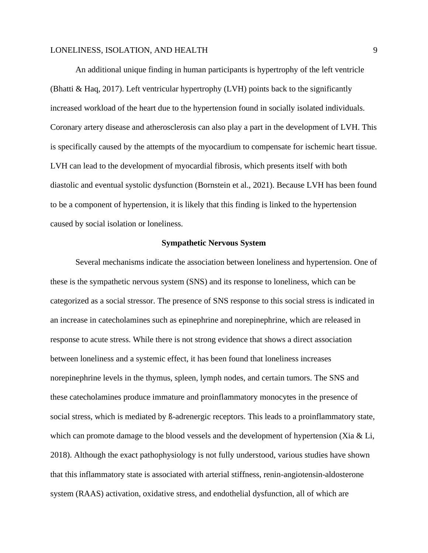An additional unique finding in human participants is hypertrophy of the left ventricle (Bhatti & Haq, 2017). Left ventricular hypertrophy (LVH) points back to the significantly increased workload of the heart due to the hypertension found in socially isolated individuals. Coronary artery disease and atherosclerosis can also play a part in the development of LVH. This is specifically caused by the attempts of the myocardium to compensate for ischemic heart tissue. LVH can lead to the development of myocardial fibrosis, which presents itself with both diastolic and eventual systolic dysfunction (Bornstein et al., 2021). Because LVH has been found to be a component of hypertension, it is likely that this finding is linked to the hypertension caused by social isolation or loneliness.

### **Sympathetic Nervous System**

Several mechanisms indicate the association between loneliness and hypertension. One of these is the sympathetic nervous system (SNS) and its response to loneliness, which can be categorized as a social stressor. The presence of SNS response to this social stress is indicated in an increase in catecholamines such as epinephrine and norepinephrine, which are released in response to acute stress. While there is not strong evidence that shows a direct association between loneliness and a systemic effect, it has been found that loneliness increases norepinephrine levels in the thymus, spleen, lymph nodes, and certain tumors. The SNS and these catecholamines produce immature and proinflammatory monocytes in the presence of social stress, which is mediated by ß-adrenergic receptors. This leads to a proinflammatory state, which can promote damage to the blood vessels and the development of hypertension (Xia & Li, 2018). Although the exact pathophysiology is not fully understood, various studies have shown that this inflammatory state is associated with arterial stiffness, renin-angiotensin-aldosterone system (RAAS) activation, oxidative stress, and endothelial dysfunction, all of which are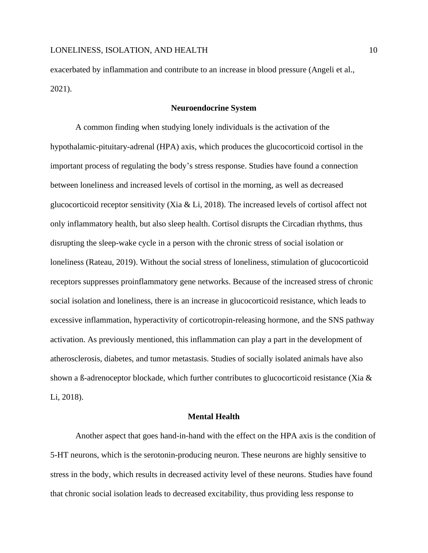exacerbated by inflammation and contribute to an increase in blood pressure (Angeli et al., 2021).

### **Neuroendocrine System**

A common finding when studying lonely individuals is the activation of the hypothalamic-pituitary-adrenal (HPA) axis, which produces the glucocorticoid cortisol in the important process of regulating the body's stress response. Studies have found a connection between loneliness and increased levels of cortisol in the morning, as well as decreased glucocorticoid receptor sensitivity (Xia & Li, 2018). The increased levels of cortisol affect not only inflammatory health, but also sleep health. Cortisol disrupts the Circadian rhythms, thus disrupting the sleep-wake cycle in a person with the chronic stress of social isolation or loneliness (Rateau, 2019). Without the social stress of loneliness, stimulation of glucocorticoid receptors suppresses proinflammatory gene networks. Because of the increased stress of chronic social isolation and loneliness, there is an increase in glucocorticoid resistance, which leads to excessive inflammation, hyperactivity of corticotropin-releasing hormone, and the SNS pathway activation. As previously mentioned, this inflammation can play a part in the development of atherosclerosis, diabetes, and tumor metastasis. Studies of socially isolated animals have also shown a ß-adrenoceptor blockade, which further contributes to glucocorticoid resistance (Xia & Li, 2018).

### **Mental Health**

Another aspect that goes hand-in-hand with the effect on the HPA axis is the condition of 5-HT neurons, which is the serotonin-producing neuron. These neurons are highly sensitive to stress in the body, which results in decreased activity level of these neurons. Studies have found that chronic social isolation leads to decreased excitability, thus providing less response to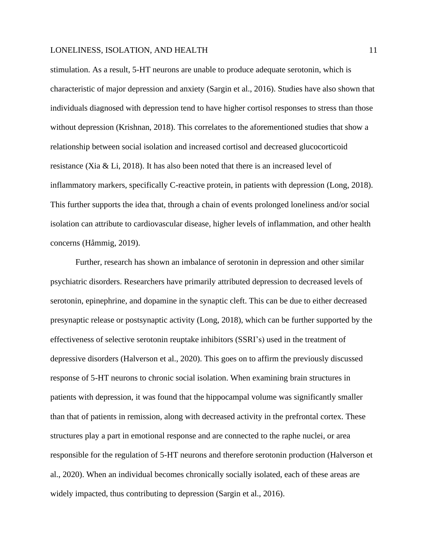stimulation. As a result, 5-HT neurons are unable to produce adequate serotonin, which is characteristic of major depression and anxiety (Sargin et al., 2016). Studies have also shown that individuals diagnosed with depression tend to have higher cortisol responses to stress than those without depression (Krishnan, 2018). This correlates to the aforementioned studies that show a relationship between social isolation and increased cortisol and decreased glucocorticoid resistance (Xia & Li, 2018). It has also been noted that there is an increased level of inflammatory markers, specifically C-reactive protein, in patients with depression (Long, 2018). This further supports the idea that, through a chain of events prolonged loneliness and/or social isolation can attribute to cardiovascular disease, higher levels of inflammation, and other health concerns (Håmmig, 2019).

Further, research has shown an imbalance of serotonin in depression and other similar psychiatric disorders. Researchers have primarily attributed depression to decreased levels of serotonin, epinephrine, and dopamine in the synaptic cleft. This can be due to either decreased presynaptic release or postsynaptic activity (Long, 2018), which can be further supported by the effectiveness of selective serotonin reuptake inhibitors (SSRI's) used in the treatment of depressive disorders (Halverson et al., 2020). This goes on to affirm the previously discussed response of 5-HT neurons to chronic social isolation. When examining brain structures in patients with depression, it was found that the hippocampal volume was significantly smaller than that of patients in remission, along with decreased activity in the prefrontal cortex. These structures play a part in emotional response and are connected to the raphe nuclei, or area responsible for the regulation of 5-HT neurons and therefore serotonin production (Halverson et al., 2020). When an individual becomes chronically socially isolated, each of these areas are widely impacted, thus contributing to depression (Sargin et al., 2016).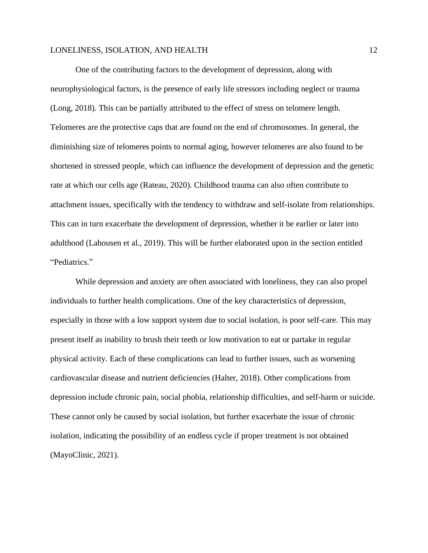One of the contributing factors to the development of depression, along with neurophysiological factors, is the presence of early life stressors including neglect or trauma (Long, 2018). This can be partially attributed to the effect of stress on telomere length. Telomeres are the protective caps that are found on the end of chromosomes. In general, the diminishing size of telomeres points to normal aging, however telomeres are also found to be shortened in stressed people, which can influence the development of depression and the genetic rate at which our cells age (Rateau, 2020). Childhood trauma can also often contribute to attachment issues, specifically with the tendency to withdraw and self-isolate from relationships. This can in turn exacerbate the development of depression, whether it be earlier or later into adulthood (Lahousen et al., 2019). This will be further elaborated upon in the section entitled "Pediatrics."

While depression and anxiety are often associated with loneliness, they can also propel individuals to further health complications. One of the key characteristics of depression, especially in those with a low support system due to social isolation, is poor self-care. This may present itself as inability to brush their teeth or low motivation to eat or partake in regular physical activity. Each of these complications can lead to further issues, such as worsening cardiovascular disease and nutrient deficiencies (Halter, 2018). Other complications from depression include chronic pain, social phobia, relationship difficulties, and self-harm or suicide. These cannot only be caused by social isolation, but further exacerbate the issue of chronic isolation, indicating the possibility of an endless cycle if proper treatment is not obtained (MayoClinic, 2021).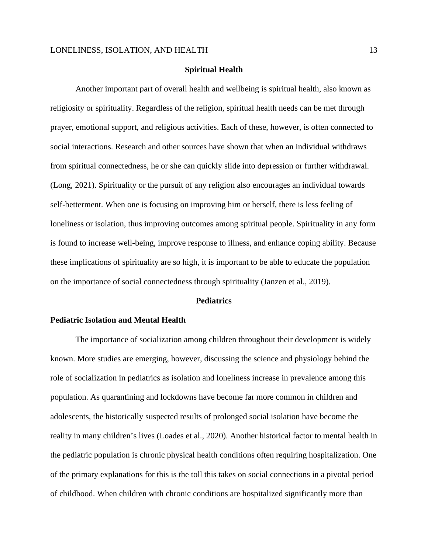### **Spiritual Health**

Another important part of overall health and wellbeing is spiritual health, also known as religiosity or spirituality. Regardless of the religion, spiritual health needs can be met through prayer, emotional support, and religious activities. Each of these, however, is often connected to social interactions. Research and other sources have shown that when an individual withdraws from spiritual connectedness, he or she can quickly slide into depression or further withdrawal. (Long, 2021). Spirituality or the pursuit of any religion also encourages an individual towards self-betterment. When one is focusing on improving him or herself, there is less feeling of loneliness or isolation, thus improving outcomes among spiritual people. Spirituality in any form is found to increase well-being, improve response to illness, and enhance coping ability. Because these implications of spirituality are so high, it is important to be able to educate the population on the importance of social connectedness through spirituality (Janzen et al., 2019).

## **Pediatrics**

## **Pediatric Isolation and Mental Health**

The importance of socialization among children throughout their development is widely known. More studies are emerging, however, discussing the science and physiology behind the role of socialization in pediatrics as isolation and loneliness increase in prevalence among this population. As quarantining and lockdowns have become far more common in children and adolescents, the historically suspected results of prolonged social isolation have become the reality in many children's lives (Loades et al., 2020). Another historical factor to mental health in the pediatric population is chronic physical health conditions often requiring hospitalization. One of the primary explanations for this is the toll this takes on social connections in a pivotal period of childhood. When children with chronic conditions are hospitalized significantly more than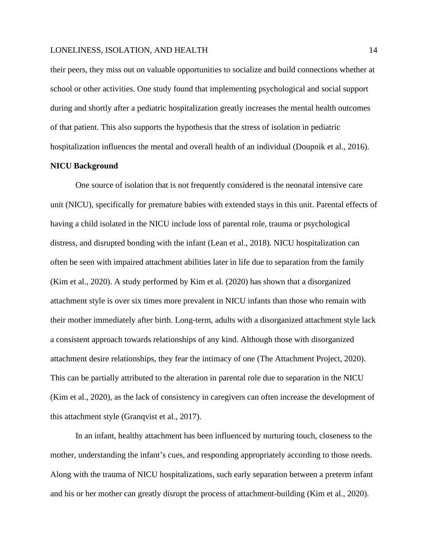their peers, they miss out on valuable opportunities to socialize and build connections whether at school or other activities. One study found that implementing psychological and social support during and shortly after a pediatric hospitalization greatly increases the mental health outcomes of that patient. This also supports the hypothesis that the stress of isolation in pediatric hospitalization influences the mental and overall health of an individual (Doupnik et al., 2016).

### **NICU Background**

One source of isolation that is not frequently considered is the neonatal intensive care unit (NICU), specifically for premature babies with extended stays in this unit. Parental effects of having a child isolated in the NICU include loss of parental role, trauma or psychological distress, and disrupted bonding with the infant (Lean et al., 2018). NICU hospitalization can often be seen with impaired attachment abilities later in life due to separation from the family (Kim et al., 2020). A study performed by Kim et al. (2020) has shown that a disorganized attachment style is over six times more prevalent in NICU infants than those who remain with their mother immediately after birth. Long-term, adults with a disorganized attachment style lack a consistent approach towards relationships of any kind. Although those with disorganized attachment desire relationships, they fear the intimacy of one (The Attachment Project, 2020). This can be partially attributed to the alteration in parental role due to separation in the NICU (Kim et al., 2020), as the lack of consistency in caregivers can often increase the development of this attachment style (Granqvist et al., 2017).

In an infant, healthy attachment has been influenced by nurturing touch, closeness to the mother, understanding the infant's cues, and responding appropriately according to those needs. Along with the trauma of NICU hospitalizations, such early separation between a preterm infant and his or her mother can greatly disrupt the process of attachment-building (Kim et al., 2020).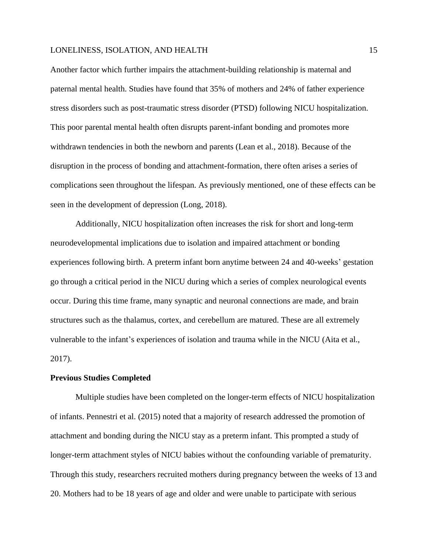Another factor which further impairs the attachment-building relationship is maternal and paternal mental health. Studies have found that 35% of mothers and 24% of father experience stress disorders such as post-traumatic stress disorder (PTSD) following NICU hospitalization. This poor parental mental health often disrupts parent-infant bonding and promotes more withdrawn tendencies in both the newborn and parents (Lean et al., 2018). Because of the disruption in the process of bonding and attachment-formation, there often arises a series of complications seen throughout the lifespan. As previously mentioned, one of these effects can be seen in the development of depression (Long, 2018).

Additionally, NICU hospitalization often increases the risk for short and long-term neurodevelopmental implications due to isolation and impaired attachment or bonding experiences following birth. A preterm infant born anytime between 24 and 40-weeks' gestation go through a critical period in the NICU during which a series of complex neurological events occur. During this time frame, many synaptic and neuronal connections are made, and brain structures such as the thalamus, cortex, and cerebellum are matured. These are all extremely vulnerable to the infant's experiences of isolation and trauma while in the NICU (Aita et al., 2017).

### **Previous Studies Completed**

Multiple studies have been completed on the longer-term effects of NICU hospitalization of infants. Pennestri et al. (2015) noted that a majority of research addressed the promotion of attachment and bonding during the NICU stay as a preterm infant. This prompted a study of longer-term attachment styles of NICU babies without the confounding variable of prematurity. Through this study, researchers recruited mothers during pregnancy between the weeks of 13 and 20. Mothers had to be 18 years of age and older and were unable to participate with serious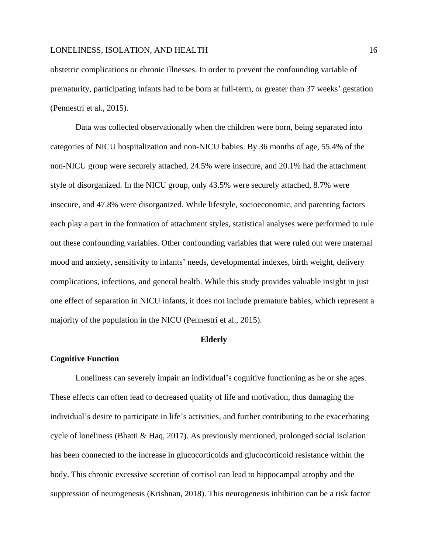obstetric complications or chronic illnesses. In order to prevent the confounding variable of prematurity, participating infants had to be born at full-term, or greater than 37 weeks' gestation (Pennestri et al., 2015).

Data was collected observationally when the children were born, being separated into categories of NICU hospitalization and non-NICU babies. By 36 months of age, 55.4% of the non-NICU group were securely attached, 24.5% were insecure, and 20.1% had the attachment style of disorganized. In the NICU group, only 43.5% were securely attached, 8.7% were insecure, and 47.8% were disorganized. While lifestyle, socioeconomic, and parenting factors each play a part in the formation of attachment styles, statistical analyses were performed to rule out these confounding variables. Other confounding variables that were ruled out were maternal mood and anxiety, sensitivity to infants' needs, developmental indexes, birth weight, delivery complications, infections, and general health. While this study provides valuable insight in just one effect of separation in NICU infants, it does not include premature babies, which represent a majority of the population in the NICU (Pennestri et al., 2015).

#### **Elderly**

#### **Cognitive Function**

Loneliness can severely impair an individual's cognitive functioning as he or she ages. These effects can often lead to decreased quality of life and motivation, thus damaging the individual's desire to participate in life's activities, and further contributing to the exacerbating cycle of loneliness (Bhatti & Haq, 2017). As previously mentioned, prolonged social isolation has been connected to the increase in glucocorticoids and glucocorticoid resistance within the body. This chronic excessive secretion of cortisol can lead to hippocampal atrophy and the suppression of neurogenesis (Krishnan, 2018). This neurogenesis inhibition can be a risk factor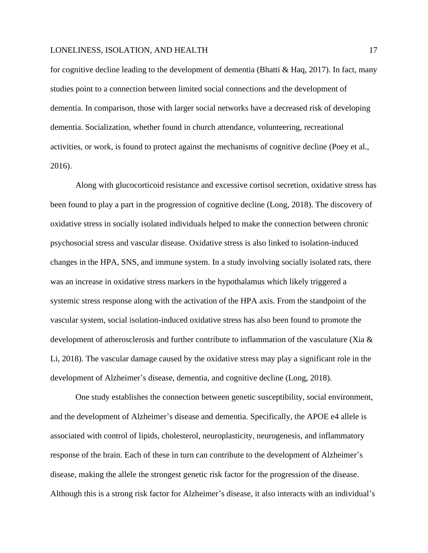for cognitive decline leading to the development of dementia (Bhatti  $\&$  Haq, 2017). In fact, many studies point to a connection between limited social connections and the development of dementia. In comparison, those with larger social networks have a decreased risk of developing dementia. Socialization, whether found in church attendance, volunteering, recreational activities, or work, is found to protect against the mechanisms of cognitive decline (Poey et al., 2016).

Along with glucocorticoid resistance and excessive cortisol secretion, oxidative stress has been found to play a part in the progression of cognitive decline (Long, 2018). The discovery of oxidative stress in socially isolated individuals helped to make the connection between chronic psychosocial stress and vascular disease. Oxidative stress is also linked to isolation-induced changes in the HPA, SNS, and immune system. In a study involving socially isolated rats, there was an increase in oxidative stress markers in the hypothalamus which likely triggered a systemic stress response along with the activation of the HPA axis. From the standpoint of the vascular system, social isolation-induced oxidative stress has also been found to promote the development of atherosclerosis and further contribute to inflammation of the vasculature (Xia & Li, 2018). The vascular damage caused by the oxidative stress may play a significant role in the development of Alzheimer's disease, dementia, and cognitive decline (Long, 2018).

One study establishes the connection between genetic susceptibility, social environment, and the development of Alzheimer's disease and dementia. Specifically, the APOE e4 allele is associated with control of lipids, cholesterol, neuroplasticity, neurogenesis, and inflammatory response of the brain. Each of these in turn can contribute to the development of Alzheimer's disease, making the allele the strongest genetic risk factor for the progression of the disease. Although this is a strong risk factor for Alzheimer's disease, it also interacts with an individual's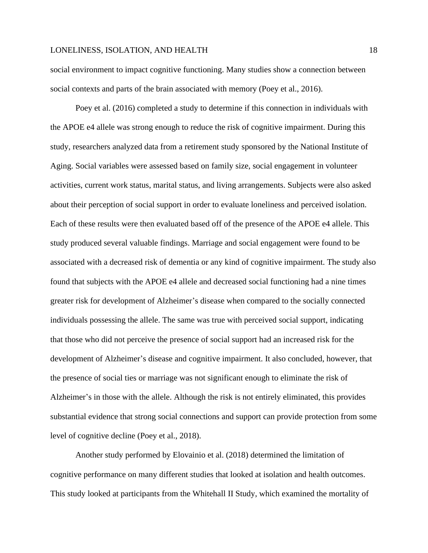social environment to impact cognitive functioning. Many studies show a connection between social contexts and parts of the brain associated with memory (Poey et al., 2016).

Poey et al. (2016) completed a study to determine if this connection in individuals with the APOE e4 allele was strong enough to reduce the risk of cognitive impairment. During this study, researchers analyzed data from a retirement study sponsored by the National Institute of Aging. Social variables were assessed based on family size, social engagement in volunteer activities, current work status, marital status, and living arrangements. Subjects were also asked about their perception of social support in order to evaluate loneliness and perceived isolation. Each of these results were then evaluated based off of the presence of the APOE e4 allele. This study produced several valuable findings. Marriage and social engagement were found to be associated with a decreased risk of dementia or any kind of cognitive impairment. The study also found that subjects with the APOE e4 allele and decreased social functioning had a nine times greater risk for development of Alzheimer's disease when compared to the socially connected individuals possessing the allele. The same was true with perceived social support, indicating that those who did not perceive the presence of social support had an increased risk for the development of Alzheimer's disease and cognitive impairment. It also concluded, however, that the presence of social ties or marriage was not significant enough to eliminate the risk of Alzheimer's in those with the allele. Although the risk is not entirely eliminated, this provides substantial evidence that strong social connections and support can provide protection from some level of cognitive decline (Poey et al., 2018).

Another study performed by Elovainio et al. (2018) determined the limitation of cognitive performance on many different studies that looked at isolation and health outcomes. This study looked at participants from the Whitehall II Study, which examined the mortality of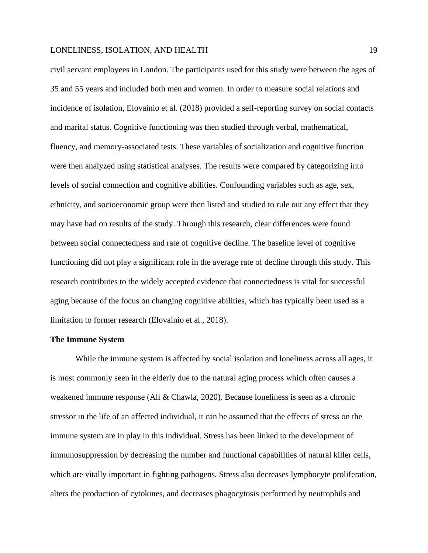civil servant employees in London. The participants used for this study were between the ages of 35 and 55 years and included both men and women. In order to measure social relations and incidence of isolation, Elovainio et al. (2018) provided a self-reporting survey on social contacts and marital status. Cognitive functioning was then studied through verbal, mathematical, fluency, and memory-associated tests. These variables of socialization and cognitive function were then analyzed using statistical analyses. The results were compared by categorizing into levels of social connection and cognitive abilities. Confounding variables such as age, sex, ethnicity, and socioeconomic group were then listed and studied to rule out any effect that they may have had on results of the study. Through this research, clear differences were found between social connectedness and rate of cognitive decline. The baseline level of cognitive functioning did not play a significant role in the average rate of decline through this study. This research contributes to the widely accepted evidence that connectedness is vital for successful aging because of the focus on changing cognitive abilities, which has typically been used as a limitation to former research (Elovainio et al., 2018).

### **The Immune System**

While the immune system is affected by social isolation and loneliness across all ages, it is most commonly seen in the elderly due to the natural aging process which often causes a weakened immune response (Ali & Chawla, 2020). Because loneliness is seen as a chronic stressor in the life of an affected individual, it can be assumed that the effects of stress on the immune system are in play in this individual. Stress has been linked to the development of immunosuppression by decreasing the number and functional capabilities of natural killer cells, which are vitally important in fighting pathogens. Stress also decreases lymphocyte proliferation, alters the production of cytokines, and decreases phagocytosis performed by neutrophils and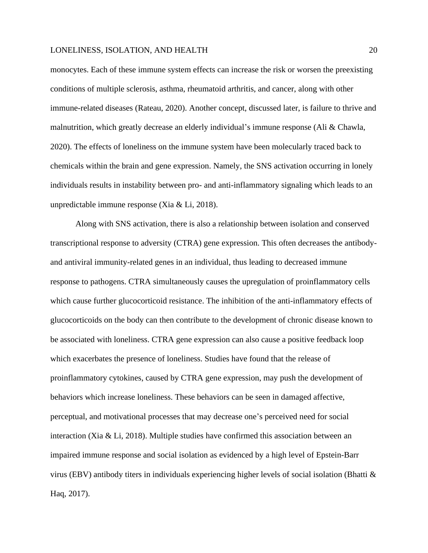monocytes. Each of these immune system effects can increase the risk or worsen the preexisting conditions of multiple sclerosis, asthma, rheumatoid arthritis, and cancer, along with other immune-related diseases (Rateau, 2020). Another concept, discussed later, is failure to thrive and malnutrition, which greatly decrease an elderly individual's immune response (Ali & Chawla, 2020). The effects of loneliness on the immune system have been molecularly traced back to chemicals within the brain and gene expression. Namely, the SNS activation occurring in lonely individuals results in instability between pro- and anti-inflammatory signaling which leads to an unpredictable immune response (Xia & Li, 2018).

Along with SNS activation, there is also a relationship between isolation and conserved transcriptional response to adversity (CTRA) gene expression. This often decreases the antibodyand antiviral immunity-related genes in an individual, thus leading to decreased immune response to pathogens. CTRA simultaneously causes the upregulation of proinflammatory cells which cause further glucocorticoid resistance. The inhibition of the anti-inflammatory effects of glucocorticoids on the body can then contribute to the development of chronic disease known to be associated with loneliness. CTRA gene expression can also cause a positive feedback loop which exacerbates the presence of loneliness. Studies have found that the release of proinflammatory cytokines, caused by CTRA gene expression, may push the development of behaviors which increase loneliness. These behaviors can be seen in damaged affective, perceptual, and motivational processes that may decrease one's perceived need for social interaction (Xia & Li, 2018). Multiple studies have confirmed this association between an impaired immune response and social isolation as evidenced by a high level of Epstein-Barr virus (EBV) antibody titers in individuals experiencing higher levels of social isolation (Bhatti & Haq, 2017).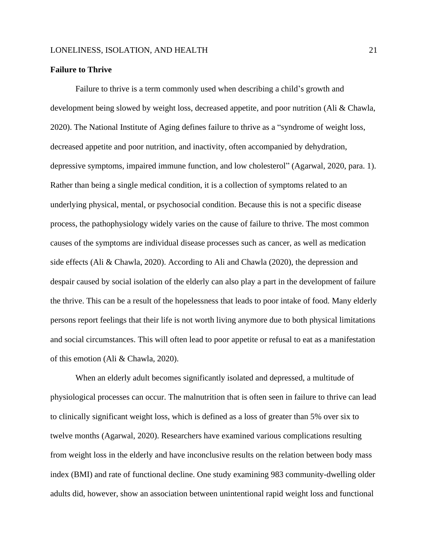## **Failure to Thrive**

Failure to thrive is a term commonly used when describing a child's growth and development being slowed by weight loss, decreased appetite, and poor nutrition (Ali & Chawla, 2020). The National Institute of Aging defines failure to thrive as a "syndrome of weight loss, decreased appetite and poor nutrition, and inactivity, often accompanied by dehydration, depressive symptoms, impaired immune function, and low cholesterol" (Agarwal, 2020, para. 1). Rather than being a single medical condition, it is a collection of symptoms related to an underlying physical, mental, or psychosocial condition. Because this is not a specific disease process, the pathophysiology widely varies on the cause of failure to thrive. The most common causes of the symptoms are individual disease processes such as cancer, as well as medication side effects (Ali & Chawla, 2020). According to Ali and Chawla (2020), the depression and despair caused by social isolation of the elderly can also play a part in the development of failure the thrive. This can be a result of the hopelessness that leads to poor intake of food. Many elderly persons report feelings that their life is not worth living anymore due to both physical limitations and social circumstances. This will often lead to poor appetite or refusal to eat as a manifestation of this emotion (Ali & Chawla, 2020).

When an elderly adult becomes significantly isolated and depressed, a multitude of physiological processes can occur. The malnutrition that is often seen in failure to thrive can lead to clinically significant weight loss, which is defined as a loss of greater than 5% over six to twelve months (Agarwal, 2020). Researchers have examined various complications resulting from weight loss in the elderly and have inconclusive results on the relation between body mass index (BMI) and rate of functional decline. One study examining 983 community-dwelling older adults did, however, show an association between unintentional rapid weight loss and functional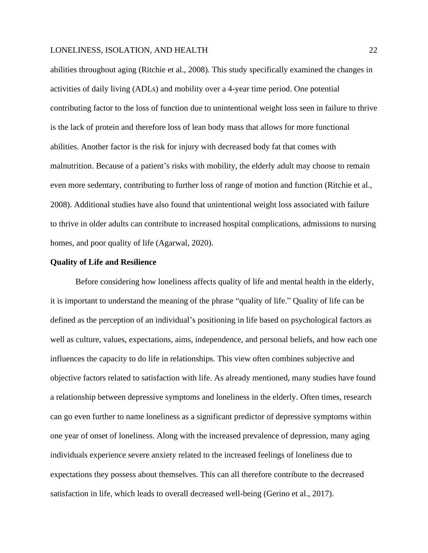abilities throughout aging (Ritchie et al., 2008). This study specifically examined the changes in activities of daily living (ADLs) and mobility over a 4-year time period. One potential contributing factor to the loss of function due to unintentional weight loss seen in failure to thrive is the lack of protein and therefore loss of lean body mass that allows for more functional abilities. Another factor is the risk for injury with decreased body fat that comes with malnutrition. Because of a patient's risks with mobility, the elderly adult may choose to remain even more sedentary, contributing to further loss of range of motion and function (Ritchie et al., 2008). Additional studies have also found that unintentional weight loss associated with failure to thrive in older adults can contribute to increased hospital complications, admissions to nursing homes, and poor quality of life (Agarwal, 2020).

### **Quality of Life and Resilience**

Before considering how loneliness affects quality of life and mental health in the elderly, it is important to understand the meaning of the phrase "quality of life." Quality of life can be defined as the perception of an individual's positioning in life based on psychological factors as well as culture, values, expectations, aims, independence, and personal beliefs, and how each one influences the capacity to do life in relationships. This view often combines subjective and objective factors related to satisfaction with life. As already mentioned, many studies have found a relationship between depressive symptoms and loneliness in the elderly. Often times, research can go even further to name loneliness as a significant predictor of depressive symptoms within one year of onset of loneliness. Along with the increased prevalence of depression, many aging individuals experience severe anxiety related to the increased feelings of loneliness due to expectations they possess about themselves. This can all therefore contribute to the decreased satisfaction in life, which leads to overall decreased well-being (Gerino et al., 2017).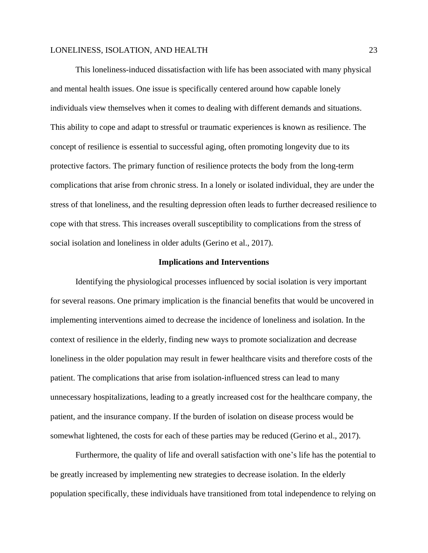This loneliness-induced dissatisfaction with life has been associated with many physical and mental health issues. One issue is specifically centered around how capable lonely individuals view themselves when it comes to dealing with different demands and situations. This ability to cope and adapt to stressful or traumatic experiences is known as resilience. The concept of resilience is essential to successful aging, often promoting longevity due to its protective factors. The primary function of resilience protects the body from the long-term complications that arise from chronic stress. In a lonely or isolated individual, they are under the stress of that loneliness, and the resulting depression often leads to further decreased resilience to cope with that stress. This increases overall susceptibility to complications from the stress of social isolation and loneliness in older adults (Gerino et al., 2017).

### **Implications and Interventions**

Identifying the physiological processes influenced by social isolation is very important for several reasons. One primary implication is the financial benefits that would be uncovered in implementing interventions aimed to decrease the incidence of loneliness and isolation. In the context of resilience in the elderly, finding new ways to promote socialization and decrease loneliness in the older population may result in fewer healthcare visits and therefore costs of the patient. The complications that arise from isolation-influenced stress can lead to many unnecessary hospitalizations, leading to a greatly increased cost for the healthcare company, the patient, and the insurance company. If the burden of isolation on disease process would be somewhat lightened, the costs for each of these parties may be reduced (Gerino et al., 2017).

Furthermore, the quality of life and overall satisfaction with one's life has the potential to be greatly increased by implementing new strategies to decrease isolation. In the elderly population specifically, these individuals have transitioned from total independence to relying on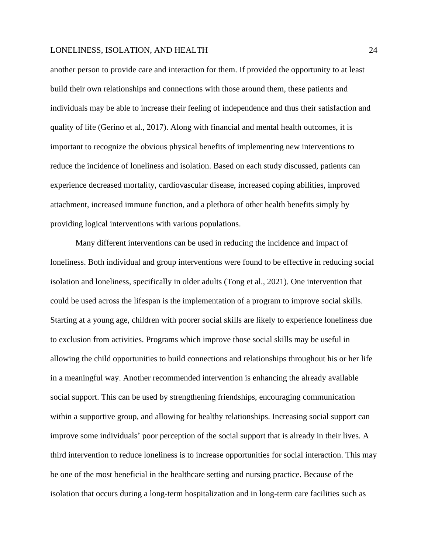another person to provide care and interaction for them. If provided the opportunity to at least build their own relationships and connections with those around them, these patients and individuals may be able to increase their feeling of independence and thus their satisfaction and quality of life (Gerino et al., 2017). Along with financial and mental health outcomes, it is important to recognize the obvious physical benefits of implementing new interventions to reduce the incidence of loneliness and isolation. Based on each study discussed, patients can experience decreased mortality, cardiovascular disease, increased coping abilities, improved attachment, increased immune function, and a plethora of other health benefits simply by providing logical interventions with various populations.

Many different interventions can be used in reducing the incidence and impact of loneliness. Both individual and group interventions were found to be effective in reducing social isolation and loneliness, specifically in older adults (Tong et al., 2021). One intervention that could be used across the lifespan is the implementation of a program to improve social skills. Starting at a young age, children with poorer social skills are likely to experience loneliness due to exclusion from activities. Programs which improve those social skills may be useful in allowing the child opportunities to build connections and relationships throughout his or her life in a meaningful way. Another recommended intervention is enhancing the already available social support. This can be used by strengthening friendships, encouraging communication within a supportive group, and allowing for healthy relationships. Increasing social support can improve some individuals' poor perception of the social support that is already in their lives. A third intervention to reduce loneliness is to increase opportunities for social interaction. This may be one of the most beneficial in the healthcare setting and nursing practice. Because of the isolation that occurs during a long-term hospitalization and in long-term care facilities such as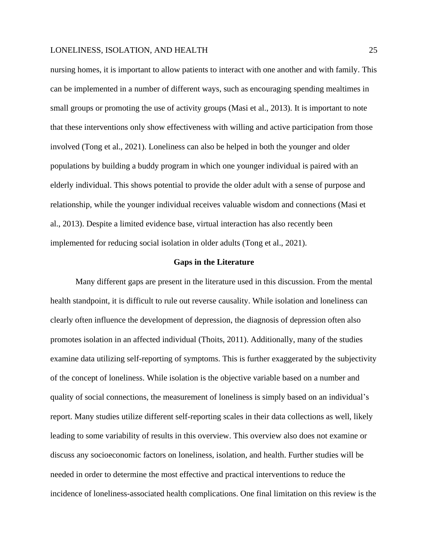nursing homes, it is important to allow patients to interact with one another and with family. This can be implemented in a number of different ways, such as encouraging spending mealtimes in small groups or promoting the use of activity groups (Masi et al., 2013). It is important to note that these interventions only show effectiveness with willing and active participation from those involved (Tong et al., 2021). Loneliness can also be helped in both the younger and older populations by building a buddy program in which one younger individual is paired with an elderly individual. This shows potential to provide the older adult with a sense of purpose and relationship, while the younger individual receives valuable wisdom and connections (Masi et al., 2013). Despite a limited evidence base, virtual interaction has also recently been implemented for reducing social isolation in older adults (Tong et al., 2021).

### **Gaps in the Literature**

Many different gaps are present in the literature used in this discussion. From the mental health standpoint, it is difficult to rule out reverse causality. While isolation and loneliness can clearly often influence the development of depression, the diagnosis of depression often also promotes isolation in an affected individual (Thoits, 2011). Additionally, many of the studies examine data utilizing self-reporting of symptoms. This is further exaggerated by the subjectivity of the concept of loneliness. While isolation is the objective variable based on a number and quality of social connections, the measurement of loneliness is simply based on an individual's report. Many studies utilize different self-reporting scales in their data collections as well, likely leading to some variability of results in this overview. This overview also does not examine or discuss any socioeconomic factors on loneliness, isolation, and health. Further studies will be needed in order to determine the most effective and practical interventions to reduce the incidence of loneliness-associated health complications. One final limitation on this review is the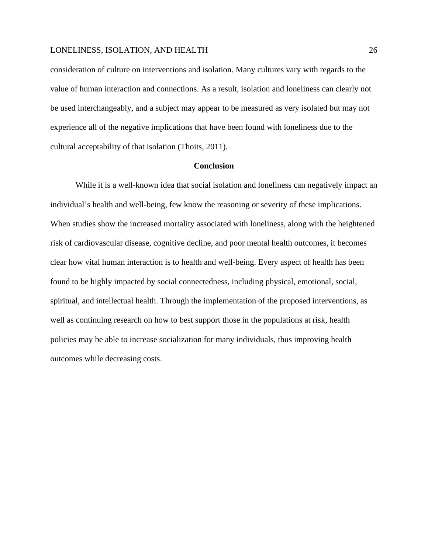consideration of culture on interventions and isolation. Many cultures vary with regards to the value of human interaction and connections. As a result, isolation and loneliness can clearly not be used interchangeably, and a subject may appear to be measured as very isolated but may not experience all of the negative implications that have been found with loneliness due to the cultural acceptability of that isolation (Thoits, 2011).

### **Conclusion**

While it is a well-known idea that social isolation and loneliness can negatively impact an individual's health and well-being, few know the reasoning or severity of these implications. When studies show the increased mortality associated with loneliness, along with the heightened risk of cardiovascular disease, cognitive decline, and poor mental health outcomes, it becomes clear how vital human interaction is to health and well-being. Every aspect of health has been found to be highly impacted by social connectedness, including physical, emotional, social, spiritual, and intellectual health. Through the implementation of the proposed interventions, as well as continuing research on how to best support those in the populations at risk, health policies may be able to increase socialization for many individuals, thus improving health outcomes while decreasing costs.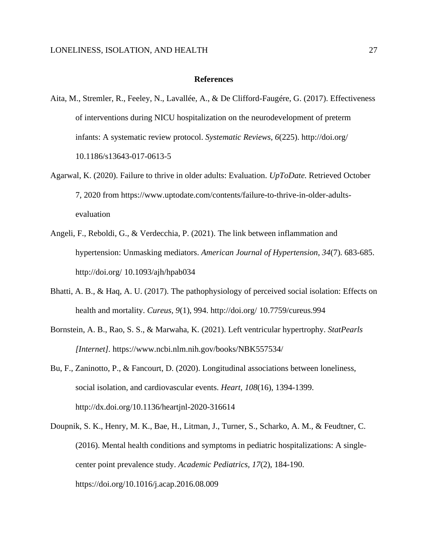#### **References**

- Aita, M., Stremler, R., Feeley, N., Lavallée, A., & De Clifford-Faugére, G. (2017). Effectiveness of interventions during NICU hospitalization on the neurodevelopment of preterm infants: A systematic review protocol. *Systematic Reviews, 6*(225). http://doi.org/ 10.1186/s13643-017-0613-5
- Agarwal, K. (2020). Failure to thrive in older adults: Evaluation. *UpToDate.* Retrieved October 7, 2020 from https://www.uptodate.com/contents/failure-to-thrive-in-older-adultsevaluation
- Angeli, F., Reboldi, G., & Verdecchia, P. (2021). The link between inflammation and hypertension: Unmasking mediators. *American Journal of Hypertension, 34*(7). 683-685. http://doi.org/ 10.1093/ajh/hpab034
- Bhatti, A. B., & Haq, A. U. (2017). The pathophysiology of perceived social isolation: Effects on health and mortality. *Cureus, 9*(1), 994. http://doi.org/ 10.7759/cureus.994
- Bornstein, A. B., Rao, S. S., & Marwaha, K. (2021). Left ventricular hypertrophy. *StatPearls [Internet].* https://www.ncbi.nlm.nih.gov/books/NBK557534/
- Bu, F., Zaninotto, P., & Fancourt, D. (2020). Longitudinal associations between loneliness, social isolation, and cardiovascular events. *Heart, 108*(16), 1394-1399. http://dx.doi.org/10.1136/heartjnl-2020-316614
- Doupnik, S. K., Henry, M. K., Bae, H., Litman, J., Turner, S., Scharko, A. M., & Feudtner, C. (2016). Mental health conditions and symptoms in pediatric hospitalizations: A singlecenter point prevalence study. *Academic Pediatrics, 17*(2), 184-190. https://doi.org/10.1016/j.acap.2016.08.009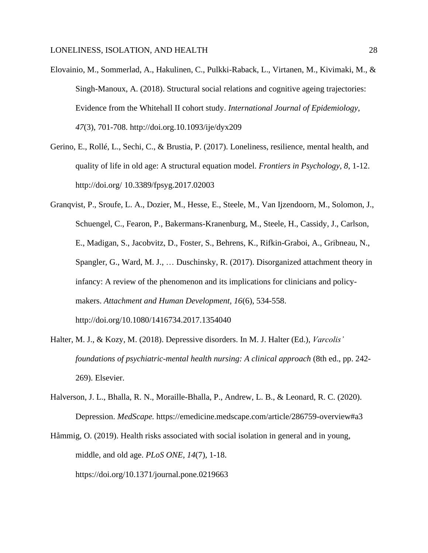- Elovainio, M., Sommerlad, A., Hakulinen, C., Pulkki-Raback, L., Virtanen, M., Kivimaki, M., & Singh-Manoux, A. (2018). Structural social relations and cognitive ageing trajectories: Evidence from the Whitehall II cohort study. *International Journal of Epidemiology, 47*(3), 701-708. http://doi.org.10.1093/ije/dyx209
- Gerino, E., Rollé, L., Sechi, C., & Brustia, P. (2017). Loneliness, resilience, mental health, and quality of life in old age: A structural equation model. *Frontiers in Psychology, 8*, 1-12. http://doi.org/ 10.3389/fpsyg.2017.02003
- Granqvist, P., Sroufe, L. A., Dozier, M., Hesse, E., Steele, M., Van Ijzendoorn, M., Solomon, J., Schuengel, C., Fearon, P., Bakermans-Kranenburg, M., Steele, H., Cassidy, J., Carlson, E., Madigan, S., Jacobvitz, D., Foster, S., Behrens, K., Rifkin-Graboi, A., Gribneau, N., Spangler, G., Ward, M. J., … Duschinsky, R. (2017). Disorganized attachment theory in infancy: A review of the phenomenon and its implications for clinicians and policymakers. *Attachment and Human Development, 16*(6), 534-558. http://doi.org/10.1080/1416734.2017.1354040
- Halter, M. J., & Kozy, M. (2018). Depressive disorders. In M. J. Halter (Ed.), *Varcolis' foundations of psychiatric-mental health nursing: A clinical approach* (8th ed., pp. 242- 269). Elsevier.
- Halverson, J. L., Bhalla, R. N., Moraille-Bhalla, P., Andrew, L. B., & Leonard, R. C. (2020). Depression. *MedScape.* https://emedicine.medscape.com/article/286759-overview#a3
- Håmmig, O. (2019). Health risks associated with social isolation in general and in young, middle, and old age. *PLoS ONE, 14*(7), 1-18. https://doi.org/10.1371/journal.pone.0219663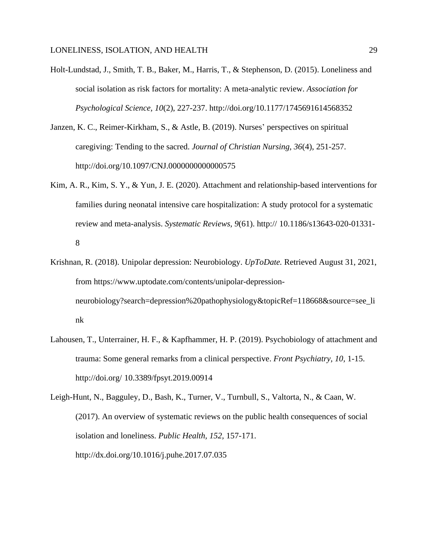- Holt-Lundstad, J., Smith, T. B., Baker, M., Harris, T., & Stephenson, D. (2015). Loneliness and social isolation as risk factors for mortality: A meta-analytic review. *Association for Psychological Science, 10*(2), 227-237. http://doi.org/10.1177/1745691614568352
- Janzen, K. C., Reimer-Kirkham, S., & Astle, B. (2019). Nurses' perspectives on spiritual caregiving: Tending to the sacred. *Journal of Christian Nursing, 36*(4), 251-257. http://doi.org/10.1097/CNJ.00000000000000575
- Kim, A. R., Kim, S. Y., & Yun, J. E. (2020). Attachment and relationship-based interventions for families during neonatal intensive care hospitalization: A study protocol for a systematic review and meta-analysis. *Systematic Reviews, 9*(61). http:// 10.1186/s13643-020-01331- 8
- Krishnan, R. (2018). Unipolar depression: Neurobiology. *UpToDate.* Retrieved August 31, 2021, from https://www.uptodate.com/contents/unipolar-depressionneurobiology?search=depression%20pathophysiology&topicRef=118668&source=see\_li nk
- Lahousen, T., Unterrainer, H. F., & Kapfhammer, H. P. (2019). Psychobiology of attachment and trauma: Some general remarks from a clinical perspective. *Front Psychiatry, 10,* 1-15. http://doi.org/ 10.3389/fpsyt.2019.00914

Leigh-Hunt, N., Bagguley, D., Bash, K., Turner, V., Turnbull, S., Valtorta, N., & Caan, W. (2017). An overview of systematic reviews on the public health consequences of social isolation and loneliness. *Public Health, 152,* 157-171. http://dx.doi.org/10.1016/j.puhe.2017.07.035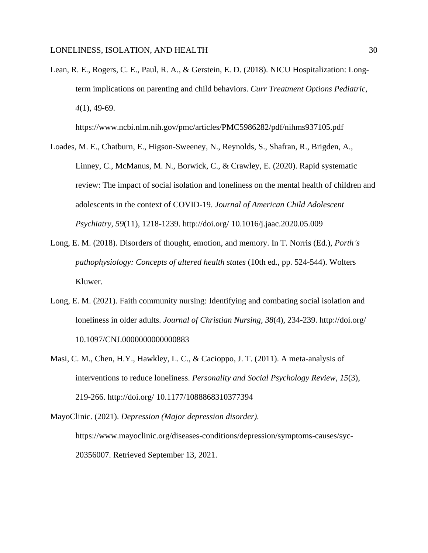Lean, R. E., Rogers, C. E., Paul, R. A., & Gerstein, E. D. (2018). NICU Hospitalization: Longterm implications on parenting and child behaviors. *Curr Treatment Options Pediatric, 4*(1), 49-69.

https://www.ncbi.nlm.nih.gov/pmc/articles/PMC5986282/pdf/nihms937105.pdf

- Loades, M. E., Chatburn, E., Higson-Sweeney, N., Reynolds, S., Shafran, R., Brigden, A., Linney, C., McManus, M. N., Borwick, C., & Crawley, E. (2020). Rapid systematic review: The impact of social isolation and loneliness on the mental health of children and adolescents in the context of COVID-19. *Journal of American Child Adolescent Psychiatry, 59*(11), 1218-1239. http://doi.org/ 10.1016/j.jaac.2020.05.009
- Long, E. M. (2018). Disorders of thought, emotion, and memory. In T. Norris (Ed.), *Porth's pathophysiology: Concepts of altered health states* (10th ed., pp. 524-544). Wolters Kluwer.
- Long, E. M. (2021). Faith community nursing: Identifying and combating social isolation and loneliness in older adults. *Journal of Christian Nursing, 38*(4), 234-239. http://doi.org/ 10.1097/CNJ.0000000000000883
- Masi, C. M., Chen, H.Y., Hawkley, L. C., & Cacioppo, J. T. (2011). A meta-analysis of interventions to reduce loneliness. *Personality and Social Psychology Review, 15*(3), 219-266. http://doi.org/ 10.1177/1088868310377394
- MayoClinic. (2021). *Depression (Major depression disorder).*  https://www.mayoclinic.org/diseases-conditions/depression/symptoms-causes/syc-20356007. Retrieved September 13, 2021.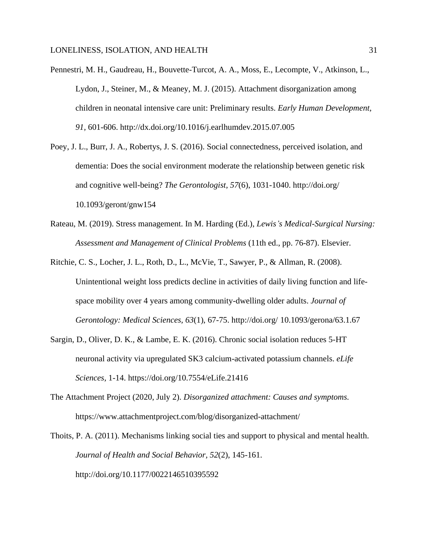- Pennestri, M. H., Gaudreau, H., Bouvette-Turcot, A. A., Moss, E., Lecompte, V., Atkinson, L., Lydon, J., Steiner, M., & Meaney, M. J. (2015). Attachment disorganization among children in neonatal intensive care unit: Preliminary results. *Early Human Development, 91,* 601-606. http://dx.doi.org/10.1016/j.earlhumdev.2015.07.005
- Poey, J. L., Burr, J. A., Robertys, J. S. (2016). Social connectedness, perceived isolation, and dementia: Does the social environment moderate the relationship between genetic risk and cognitive well-being? *The Gerontologist, 57*(6), 1031-1040. http://doi.org/ 10.1093/geront/gnw154
- Rateau, M. (2019). Stress management. In M. Harding (Ed.), *Lewis's Medical-Surgical Nursing: Assessment and Management of Clinical Problems* (11th ed., pp. 76-87). Elsevier.
- Ritchie, C. S., Locher, J. L., Roth, D., L., McVie, T., Sawyer, P., & Allman, R. (2008). Unintentional weight loss predicts decline in activities of daily living function and lifespace mobility over 4 years among community-dwelling older adults. *Journal of Gerontology: Medical Sciences, 63*(1), 67-75. http://doi.org/ 10.1093/gerona/63.1.67
- Sargin, D., Oliver, D. K., & Lambe, E. K. (2016). Chronic social isolation reduces 5-HT neuronal activity via upregulated SK3 calcium-activated potassium channels. *eLife Sciences,* 1-14. https://doi.org/10.7554/eLife.21416
- The Attachment Project (2020, July 2). *Disorganized attachment: Causes and symptoms.*  https://www.attachmentproject.com/blog/disorganized-attachment/

Thoits, P. A. (2011). Mechanisms linking social ties and support to physical and mental health. *Journal of Health and Social Behavior, 52*(2), 145-161. http://doi.org/10.1177/0022146510395592